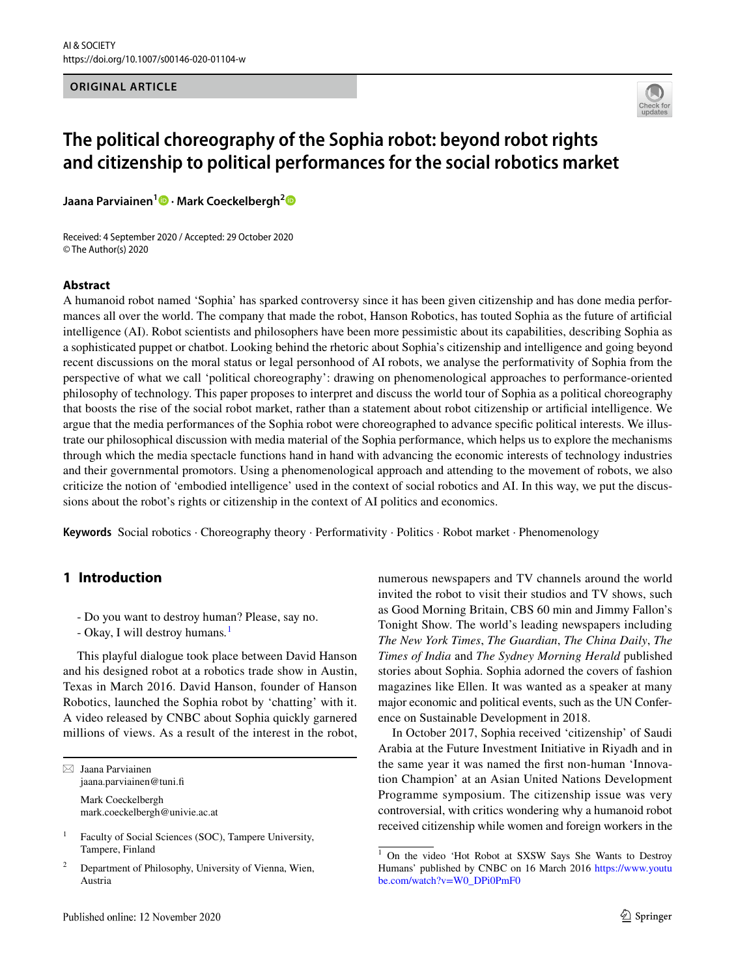#### **ORIGINAL ARTICLE**



# **The political choreography of the Sophia robot: beyond robot rights and citizenship to political performances for the social robotics market**

**Jaana Parviainen1  [·](http://orcid.org/0000-0002-7838-592X) Mark Coeckelbergh[2](http://orcid.org/0000-0001-9576-1002)**

Received: 4 September 2020 / Accepted: 29 October 2020 © The Author(s) 2020

#### **Abstract**

A humanoid robot named 'Sophia' has sparked controversy since it has been given citizenship and has done media performances all over the world. The company that made the robot, Hanson Robotics, has touted Sophia as the future of artifcial intelligence (AI). Robot scientists and philosophers have been more pessimistic about its capabilities, describing Sophia as a sophisticated puppet or chatbot. Looking behind the rhetoric about Sophia's citizenship and intelligence and going beyond recent discussions on the moral status or legal personhood of AI robots, we analyse the performativity of Sophia from the perspective of what we call 'political choreography': drawing on phenomenological approaches to performance-oriented philosophy of technology. This paper proposes to interpret and discuss the world tour of Sophia as a political choreography that boosts the rise of the social robot market, rather than a statement about robot citizenship or artifcial intelligence. We argue that the media performances of the Sophia robot were choreographed to advance specifc political interests. We illustrate our philosophical discussion with media material of the Sophia performance, which helps us to explore the mechanisms through which the media spectacle functions hand in hand with advancing the economic interests of technology industries and their governmental promotors. Using a phenomenological approach and attending to the movement of robots, we also criticize the notion of 'embodied intelligence' used in the context of social robotics and AI. In this way, we put the discussions about the robot's rights or citizenship in the context of AI politics and economics.

**Keywords** Social robotics · Choreography theory · Performativity · Politics · Robot market · Phenomenology

## **1 Introduction**

- Do you want to destroy human? Please, say no.
- Okay, I will destroy humans*.* [1](#page-0-0)

This playful dialogue took place between David Hanson and his designed robot at a robotics trade show in Austin, Texas in March 2016. David Hanson, founder of Hanson Robotics, launched the Sophia robot by 'chatting' with it. A video released by CNBC about Sophia quickly garnered millions of views. As a result of the interest in the robot,

 $\boxtimes$  Jaana Parviainen jaana.parviainen@tuni.f

> Mark Coeckelbergh mark.coeckelbergh@univie.ac.at

<sup>1</sup> Faculty of Social Sciences (SOC), Tampere University, Tampere, Finland

<sup>2</sup> Department of Philosophy, University of Vienna, Wien, Austria

Published online: 12 November 2020

numerous newspapers and TV channels around the world invited the robot to visit their studios and TV shows, such as Good Morning Britain, CBS 60 min and Jimmy Fallon's Tonight Show. The world's leading newspapers including *The New York Times*, *The Guardian*, *The China Daily*, *The Times of India* and *The Sydney Morning Herald* published stories about Sophia. Sophia adorned the covers of fashion magazines like Ellen. It was wanted as a speaker at many major economic and political events, such as the UN Conference on Sustainable Development in 2018.

In October 2017, Sophia received 'citizenship' of Saudi Arabia at the Future Investment Initiative in Riyadh and in the same year it was named the frst non-human 'Innovation Champion' at an Asian United Nations Development Programme symposium. The citizenship issue was very controversial, with critics wondering why a humanoid robot received citizenship while women and foreign workers in the

<span id="page-0-0"></span><sup>1</sup> On the video 'Hot Robot at SXSW Says She Wants to Destroy Humans' published by CNBC on 16 March 2016 [https://www.youtu](https://www.youtube.com/watch?v=W0_DPi0PmF0) [be.com/watch?v=W0\\_DPi0PmF0](https://www.youtube.com/watch?v=W0_DPi0PmF0)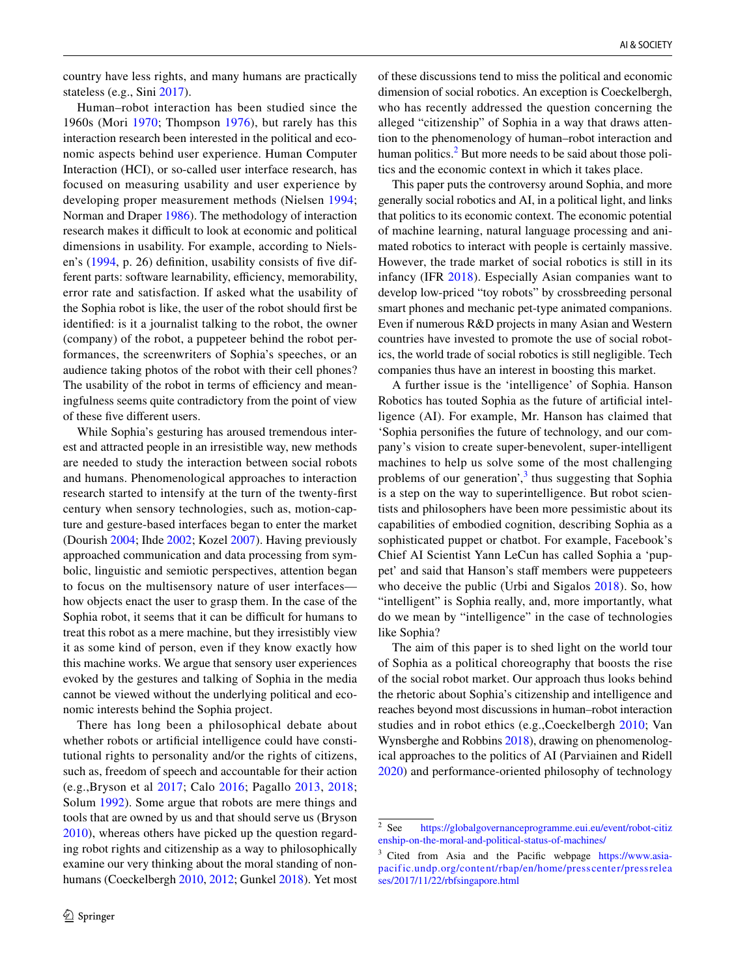country have less rights, and many humans are practically stateless (e.g., Sini [2017](#page-9-0)).

Human–robot interaction has been studied since the 1960s (Mori [1970;](#page-9-1) Thompson [1976\)](#page-9-2), but rarely has this interaction research been interested in the political and economic aspects behind user experience. Human Computer Interaction (HCI), or so-called user interface research, has focused on measuring usability and user experience by developing proper measurement methods (Nielsen [1994](#page-9-3); Norman and Draper [1986\)](#page-9-4). The methodology of interaction research makes it difficult to look at economic and political dimensions in usability. For example, according to Niels-en's ([1994,](#page-9-3) p. 26) definition, usability consists of five different parts: software learnability, efficiency, memorability, error rate and satisfaction. If asked what the usability of the Sophia robot is like, the user of the robot should frst be identifed: is it a journalist talking to the robot, the owner (company) of the robot, a puppeteer behind the robot performances, the screenwriters of Sophia's speeches, or an audience taking photos of the robot with their cell phones? The usability of the robot in terms of efficiency and meaningfulness seems quite contradictory from the point of view of these fve diferent users.

While Sophia's gesturing has aroused tremendous interest and attracted people in an irresistible way, new methods are needed to study the interaction between social robots and humans. Phenomenological approaches to interaction research started to intensify at the turn of the twenty-frst century when sensory technologies, such as, motion-capture and gesture-based interfaces began to enter the market (Dourish [2004;](#page-8-0) Ihde [2002](#page-8-1); Kozel [2007\)](#page-9-5). Having previously approached communication and data processing from symbolic, linguistic and semiotic perspectives, attention began to focus on the multisensory nature of user interfaces how objects enact the user to grasp them. In the case of the Sophia robot, it seems that it can be difficult for humans to treat this robot as a mere machine, but they irresistibly view it as some kind of person, even if they know exactly how this machine works. We argue that sensory user experiences evoked by the gestures and talking of Sophia in the media cannot be viewed without the underlying political and economic interests behind the Sophia project.

There has long been a philosophical debate about whether robots or artifcial intelligence could have constitutional rights to personality and/or the rights of citizens, such as, freedom of speech and accountable for their action (e.g.,Bryson et al [2017](#page-8-2); Calo [2016](#page-8-3); Pagallo [2013,](#page-9-6) [2018](#page-9-7); Solum [1992\)](#page-9-8). Some argue that robots are mere things and tools that are owned by us and that should serve us (Bryson [2010](#page-8-4)), whereas others have picked up the question regarding robot rights and citizenship as a way to philosophically examine our very thinking about the moral standing of nonhumans (Coeckelbergh [2010,](#page-8-5) [2012](#page-8-6); Gunkel [2018\)](#page-8-7). Yet most of these discussions tend to miss the political and economic dimension of social robotics. An exception is Coeckelbergh, who has recently addressed the question concerning the alleged "citizenship" of Sophia in a way that draws attention to the phenomenology of human–robot interaction and human politics.<sup>[2](#page-1-0)</sup> But more needs to be said about those politics and the economic context in which it takes place.

This paper puts the controversy around Sophia, and more generally social robotics and AI, in a political light, and links that politics to its economic context. The economic potential of machine learning, natural language processing and animated robotics to interact with people is certainly massive. However, the trade market of social robotics is still in its infancy (IFR [2018](#page-8-8)). Especially Asian companies want to develop low-priced "toy robots" by crossbreeding personal smart phones and mechanic pet-type animated companions. Even if numerous R&D projects in many Asian and Western countries have invested to promote the use of social robotics, the world trade of social robotics is still negligible. Tech companies thus have an interest in boosting this market.

A further issue is the 'intelligence' of Sophia. Hanson Robotics has touted Sophia as the future of artifcial intelligence (AI). For example, Mr. Hanson has claimed that 'Sophia personifes the future of technology, and our company's vision to create super-benevolent, super-intelligent machines to help us solve some of the most challenging problems of our generation', $3$  thus suggesting that Sophia is a step on the way to superintelligence. But robot scientists and philosophers have been more pessimistic about its capabilities of embodied cognition, describing Sophia as a sophisticated puppet or chatbot. For example, Facebook's Chief AI Scientist Yann LeCun has called Sophia a 'puppet' and said that Hanson's staff members were puppeteers who deceive the public (Urbi and Sigalos [2018\)](#page-9-9). So, how "intelligent" is Sophia really, and, more importantly, what do we mean by "intelligence" in the case of technologies like Sophia?

The aim of this paper is to shed light on the world tour of Sophia as a political choreography that boosts the rise of the social robot market. Our approach thus looks behind the rhetoric about Sophia's citizenship and intelligence and reaches beyond most discussions in human–robot interaction studies and in robot ethics (e.g.,Coeckelbergh [2010](#page-8-5); Van Wynsberghe and Robbins [2018](#page-9-10)), drawing on phenomenological approaches to the politics of AI (Parviainen and Ridell [2020](#page-9-11)) and performance-oriented philosophy of technology

<span id="page-1-0"></span><sup>2</sup> See [https://globalgovernanceprogramme.eui.eu/event/robot-citiz](https://globalgovernanceprogramme.eui.eu/event/robot-citizenship-on-the-moral-and-political-status-of-machines/) [enship-on-the-moral-and-political-status-of-machines/](https://globalgovernanceprogramme.eui.eu/event/robot-citizenship-on-the-moral-and-political-status-of-machines/)

<span id="page-1-1"></span>Cited from Asia and the Pacific webpage [https://www.asia](https://www.asia-pacific.undp.org/content/rbap/en/home/presscenter/pressreleases/2017/11/22/rbfsingapore.html)[pacific.undp.org/content/rbap/en/home/presscenter/pressrelea](https://www.asia-pacific.undp.org/content/rbap/en/home/presscenter/pressreleases/2017/11/22/rbfsingapore.html) [ses/2017/11/22/rbfsingapore.html](https://www.asia-pacific.undp.org/content/rbap/en/home/presscenter/pressreleases/2017/11/22/rbfsingapore.html)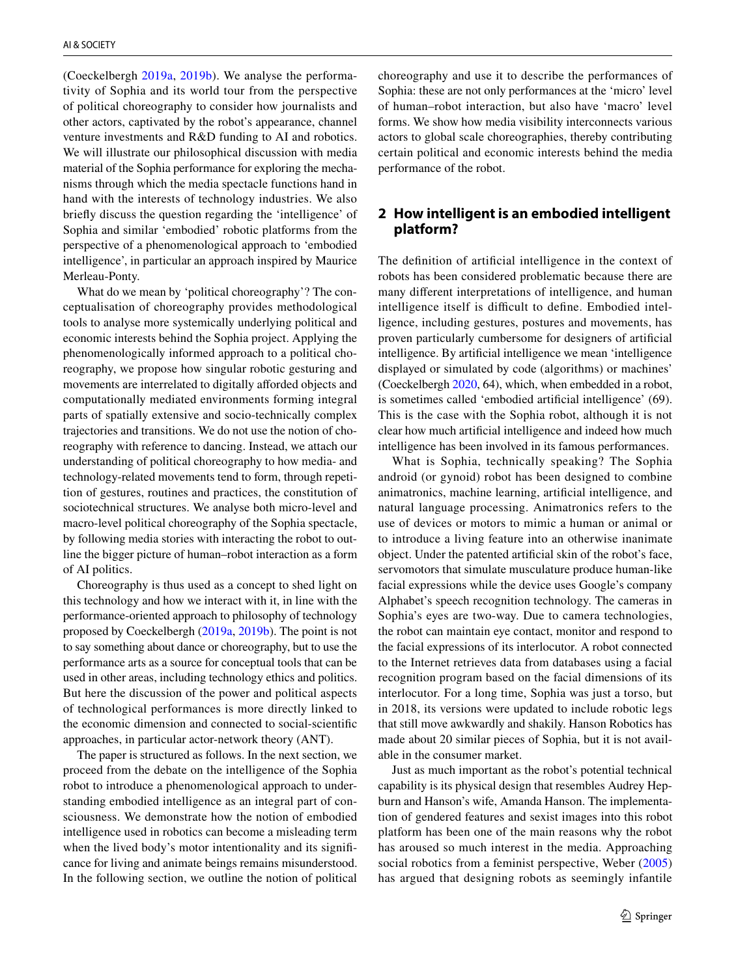(Coeckelbergh [2019a](#page-8-9), [2019b\)](#page-8-10). We analyse the performativity of Sophia and its world tour from the perspective of political choreography to consider how journalists and other actors, captivated by the robot's appearance, channel venture investments and R&D funding to AI and robotics. We will illustrate our philosophical discussion with media material of the Sophia performance for exploring the mechanisms through which the media spectacle functions hand in hand with the interests of technology industries. We also briefy discuss the question regarding the 'intelligence' of Sophia and similar 'embodied' robotic platforms from the perspective of a phenomenological approach to 'embodied intelligence', in particular an approach inspired by Maurice Merleau-Ponty.

What do we mean by 'political choreography'? The conceptualisation of choreography provides methodological tools to analyse more systemically underlying political and economic interests behind the Sophia project. Applying the phenomenologically informed approach to a political choreography, we propose how singular robotic gesturing and movements are interrelated to digitally afforded objects and computationally mediated environments forming integral parts of spatially extensive and socio-technically complex trajectories and transitions. We do not use the notion of choreography with reference to dancing. Instead, we attach our understanding of political choreography to how media- and technology-related movements tend to form, through repetition of gestures, routines and practices, the constitution of sociotechnical structures. We analyse both micro-level and macro-level political choreography of the Sophia spectacle, by following media stories with interacting the robot to outline the bigger picture of human–robot interaction as a form of AI politics.

Choreography is thus used as a concept to shed light on this technology and how we interact with it, in line with the performance-oriented approach to philosophy of technology proposed by Coeckelbergh ([2019a](#page-8-9), [2019b](#page-8-10)). The point is not to say something about dance or choreography, but to use the performance arts as a source for conceptual tools that can be used in other areas, including technology ethics and politics. But here the discussion of the power and political aspects of technological performances is more directly linked to the economic dimension and connected to social-scientifc approaches, in particular actor-network theory (ANT).

The paper is structured as follows. In the next section, we proceed from the debate on the intelligence of the Sophia robot to introduce a phenomenological approach to understanding embodied intelligence as an integral part of consciousness. We demonstrate how the notion of embodied intelligence used in robotics can become a misleading term when the lived body's motor intentionality and its significance for living and animate beings remains misunderstood. In the following section, we outline the notion of political choreography and use it to describe the performances of Sophia: these are not only performances at the 'micro' level of human–robot interaction, but also have 'macro' level forms. We show how media visibility interconnects various actors to global scale choreographies, thereby contributing certain political and economic interests behind the media performance of the robot.

## **2 How intelligent is an embodied intelligent platform?**

The defnition of artifcial intelligence in the context of robots has been considered problematic because there are many diferent interpretations of intelligence, and human intelligence itself is difficult to define. Embodied intelligence, including gestures, postures and movements, has proven particularly cumbersome for designers of artifcial intelligence. By artifcial intelligence we mean 'intelligence displayed or simulated by code (algorithms) or machines' (Coeckelbergh [2020](#page-8-11), 64), which, when embedded in a robot, is sometimes called 'embodied artifcial intelligence' (69). This is the case with the Sophia robot, although it is not clear how much artifcial intelligence and indeed how much intelligence has been involved in its famous performances.

What is Sophia, technically speaking? The Sophia android (or gynoid) robot has been designed to combine animatronics, machine learning, artifcial intelligence, and natural language processing. Animatronics refers to the use of devices or motors to mimic a human or animal or to introduce a living feature into an otherwise inanimate object. Under the patented artifcial skin of the robot's face, servomotors that simulate musculature produce human-like facial expressions while the device uses Google's company Alphabet's speech recognition technology. The cameras in Sophia's eyes are two-way. Due to camera technologies, the robot can maintain eye contact, monitor and respond to the facial expressions of its interlocutor. A robot connected to the Internet retrieves data from databases using a facial recognition program based on the facial dimensions of its interlocutor. For a long time, Sophia was just a torso, but in 2018, its versions were updated to include robotic legs that still move awkwardly and shakily. Hanson Robotics has made about 20 similar pieces of Sophia, but it is not available in the consumer market.

Just as much important as the robot's potential technical capability is its physical design that resembles Audrey Hepburn and Hanson's wife, Amanda Hanson. The implementation of gendered features and sexist images into this robot platform has been one of the main reasons why the robot has aroused so much interest in the media. Approaching social robotics from a feminist perspective, Weber [\(2005\)](#page-9-12) has argued that designing robots as seemingly infantile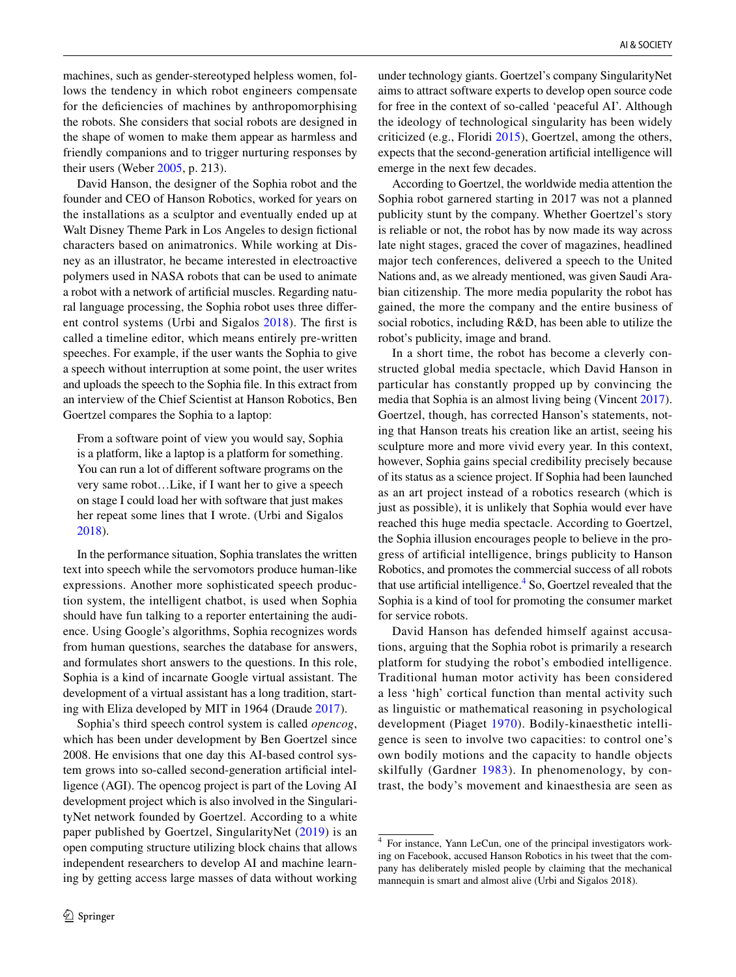machines, such as gender-stereotyped helpless women, follows the tendency in which robot engineers compensate for the defciencies of machines by anthropomorphising the robots. She considers that social robots are designed in the shape of women to make them appear as harmless and friendly companions and to trigger nurturing responses by their users (Weber [2005,](#page-9-12) p. 213).

David Hanson, the designer of the Sophia robot and the founder and CEO of Hanson Robotics, worked for years on the installations as a sculptor and eventually ended up at Walt Disney Theme Park in Los Angeles to design fictional characters based on animatronics. While working at Disney as an illustrator, he became interested in electroactive polymers used in NASA robots that can be used to animate a robot with a network of artifcial muscles. Regarding natural language processing, the Sophia robot uses three diferent control systems (Urbi and Sigalos [2018](#page-9-9)). The frst is called a timeline editor, which means entirely pre-written speeches. For example, if the user wants the Sophia to give a speech without interruption at some point, the user writes and uploads the speech to the Sophia fle. In this extract from an interview of the Chief Scientist at Hanson Robotics, Ben Goertzel compares the Sophia to a laptop:

From a software point of view you would say, Sophia is a platform, like a laptop is a platform for something. You can run a lot of diferent software programs on the very same robot…Like, if I want her to give a speech on stage I could load her with software that just makes her repeat some lines that I wrote. (Urbi and Sigalos [2018\)](#page-9-9).

In the performance situation, Sophia translates the written text into speech while the servomotors produce human-like expressions. Another more sophisticated speech production system, the intelligent chatbot, is used when Sophia should have fun talking to a reporter entertaining the audience. Using Google's algorithms, Sophia recognizes words from human questions, searches the database for answers, and formulates short answers to the questions. In this role, Sophia is a kind of incarnate Google virtual assistant. The development of a virtual assistant has a long tradition, starting with Eliza developed by MIT in 1964 (Draude [2017\)](#page-8-12).

Sophia's third speech control system is called *opencog*, which has been under development by Ben Goertzel since 2008. He envisions that one day this AI-based control system grows into so-called second-generation artifcial intelligence (AGI). The opencog project is part of the Loving AI development project which is also involved in the SingularityNet network founded by Goertzel. According to a white paper published by Goertzel, SingularityNet [\(2019](#page-9-13)) is an open computing structure utilizing block chains that allows independent researchers to develop AI and machine learning by getting access large masses of data without working

under technology giants. Goertzel's company SingularityNet aims to attract software experts to develop open source code for free in the context of so-called 'peaceful AI'. Although the ideology of technological singularity has been widely criticized (e.g., Floridi [2015\)](#page-8-13), Goertzel, among the others, expects that the second-generation artifcial intelligence will emerge in the next few decades.

According to Goertzel, the worldwide media attention the Sophia robot garnered starting in 2017 was not a planned publicity stunt by the company. Whether Goertzel's story is reliable or not, the robot has by now made its way across late night stages, graced the cover of magazines, headlined major tech conferences, delivered a speech to the United Nations and, as we already mentioned, was given Saudi Arabian citizenship. The more media popularity the robot has gained, the more the company and the entire business of social robotics, including R&D, has been able to utilize the robot's publicity, image and brand.

In a short time, the robot has become a cleverly constructed global media spectacle, which David Hanson in particular has constantly propped up by convincing the media that Sophia is an almost living being (Vincent [2017](#page-9-14)). Goertzel, though, has corrected Hanson's statements, noting that Hanson treats his creation like an artist, seeing his sculpture more and more vivid every year. In this context, however, Sophia gains special credibility precisely because of its status as a science project. If Sophia had been launched as an art project instead of a robotics research (which is just as possible), it is unlikely that Sophia would ever have reached this huge media spectacle. According to Goertzel, the Sophia illusion encourages people to believe in the progress of artifcial intelligence, brings publicity to Hanson Robotics, and promotes the commercial success of all robots that use artificial intelligence.<sup>[4](#page-3-0)</sup> So, Goertzel revealed that the Sophia is a kind of tool for promoting the consumer market for service robots.

David Hanson has defended himself against accusations, arguing that the Sophia robot is primarily a research platform for studying the robot's embodied intelligence. Traditional human motor activity has been considered a less 'high' cortical function than mental activity such as linguistic or mathematical reasoning in psychological development (Piaget [1970\)](#page-9-15). Bodily-kinaesthetic intelligence is seen to involve two capacities: to control one's own bodily motions and the capacity to handle objects skilfully (Gardner [1983](#page-8-14)). In phenomenology, by contrast, the body's movement and kinaesthesia are seen as

<span id="page-3-0"></span> $4\overline{4}$  For instance, Yann LeCun, one of the principal investigators working on Facebook, accused Hanson Robotics in his tweet that the company has deliberately misled people by claiming that the mechanical mannequin is smart and almost alive (Urbi and Sigalos 2018).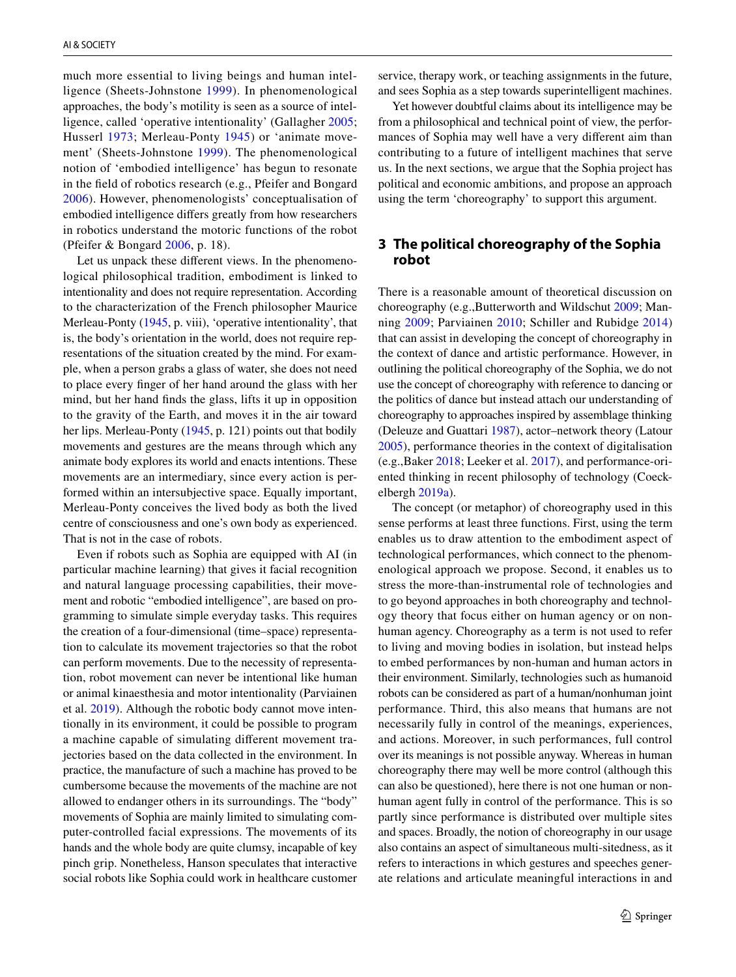much more essential to living beings and human intelligence (Sheets-Johnstone [1999](#page-9-16)). In phenomenological approaches, the body's motility is seen as a source of intelligence, called 'operative intentionality' (Gallagher [2005](#page-8-15); Husserl [1973](#page-8-16); Merleau-Ponty [1945\)](#page-9-17) or 'animate movement' (Sheets-Johnstone [1999](#page-9-16)). The phenomenological notion of 'embodied intelligence' has begun to resonate in the feld of robotics research (e.g., Pfeifer and Bongard [2006\)](#page-9-18). However, phenomenologists' conceptualisation of embodied intelligence difers greatly from how researchers in robotics understand the motoric functions of the robot (Pfeifer & Bongard [2006](#page-9-18), p. 18).

Let us unpack these diferent views. In the phenomenological philosophical tradition, embodiment is linked to intentionality and does not require representation. According to the characterization of the French philosopher Maurice Merleau-Ponty [\(1945,](#page-9-17) p. viii), 'operative intentionality', that is, the body's orientation in the world, does not require representations of the situation created by the mind. For example, when a person grabs a glass of water, she does not need to place every fnger of her hand around the glass with her mind, but her hand fnds the glass, lifts it up in opposition to the gravity of the Earth, and moves it in the air toward her lips. Merleau-Ponty [\(1945](#page-9-17), p. 121) points out that bodily movements and gestures are the means through which any animate body explores its world and enacts intentions. These movements are an intermediary, since every action is performed within an intersubjective space. Equally important, Merleau-Ponty conceives the lived body as both the lived centre of consciousness and one's own body as experienced. That is not in the case of robots.

Even if robots such as Sophia are equipped with AI (in particular machine learning) that gives it facial recognition and natural language processing capabilities, their movement and robotic "embodied intelligence", are based on programming to simulate simple everyday tasks. This requires the creation of a four-dimensional (time–space) representation to calculate its movement trajectories so that the robot can perform movements. Due to the necessity of representation, robot movement can never be intentional like human or animal kinaesthesia and motor intentionality (Parviainen et al. [2019](#page-9-19)). Although the robotic body cannot move intentionally in its environment, it could be possible to program a machine capable of simulating diferent movement trajectories based on the data collected in the environment. In practice, the manufacture of such a machine has proved to be cumbersome because the movements of the machine are not allowed to endanger others in its surroundings. The "body" movements of Sophia are mainly limited to simulating computer-controlled facial expressions. The movements of its hands and the whole body are quite clumsy, incapable of key pinch grip. Nonetheless, Hanson speculates that interactive social robots like Sophia could work in healthcare customer service, therapy work, or teaching assignments in the future, and sees Sophia as a step towards superintelligent machines.

Yet however doubtful claims about its intelligence may be from a philosophical and technical point of view, the performances of Sophia may well have a very diferent aim than contributing to a future of intelligent machines that serve us. In the next sections, we argue that the Sophia project has political and economic ambitions, and propose an approach using the term 'choreography' to support this argument.

#### **3 The political choreography of the Sophia robot**

There is a reasonable amount of theoretical discussion on choreography (e.g.,Butterworth and Wildschut [2009](#page-8-17); Manning [2009](#page-9-20); Parviainen [2010;](#page-9-21) Schiller and Rubidge [2014](#page-9-22)) that can assist in developing the concept of choreography in the context of dance and artistic performance. However, in outlining the political choreography of the Sophia, we do not use the concept of choreography with reference to dancing or the politics of dance but instead attach our understanding of choreography to approaches inspired by assemblage thinking (Deleuze and Guattari [1987](#page-8-18)), actor–network theory (Latour [2005](#page-9-23)), performance theories in the context of digitalisation (e.g.,Baker [2018](#page-8-19); Leeker et al. [2017](#page-9-24)), and performance-oriented thinking in recent philosophy of technology (Coeckelbergh [2019a](#page-8-9)).

The concept (or metaphor) of choreography used in this sense performs at least three functions. First, using the term enables us to draw attention to the embodiment aspect of technological performances, which connect to the phenomenological approach we propose. Second, it enables us to stress the more-than-instrumental role of technologies and to go beyond approaches in both choreography and technology theory that focus either on human agency or on nonhuman agency. Choreography as a term is not used to refer to living and moving bodies in isolation, but instead helps to embed performances by non-human and human actors in their environment. Similarly, technologies such as humanoid robots can be considered as part of a human/nonhuman joint performance. Third, this also means that humans are not necessarily fully in control of the meanings, experiences, and actions. Moreover, in such performances, full control over its meanings is not possible anyway. Whereas in human choreography there may well be more control (although this can also be questioned), here there is not one human or nonhuman agent fully in control of the performance. This is so partly since performance is distributed over multiple sites and spaces. Broadly, the notion of choreography in our usage also contains an aspect of simultaneous multi-sitedness, as it refers to interactions in which gestures and speeches generate relations and articulate meaningful interactions in and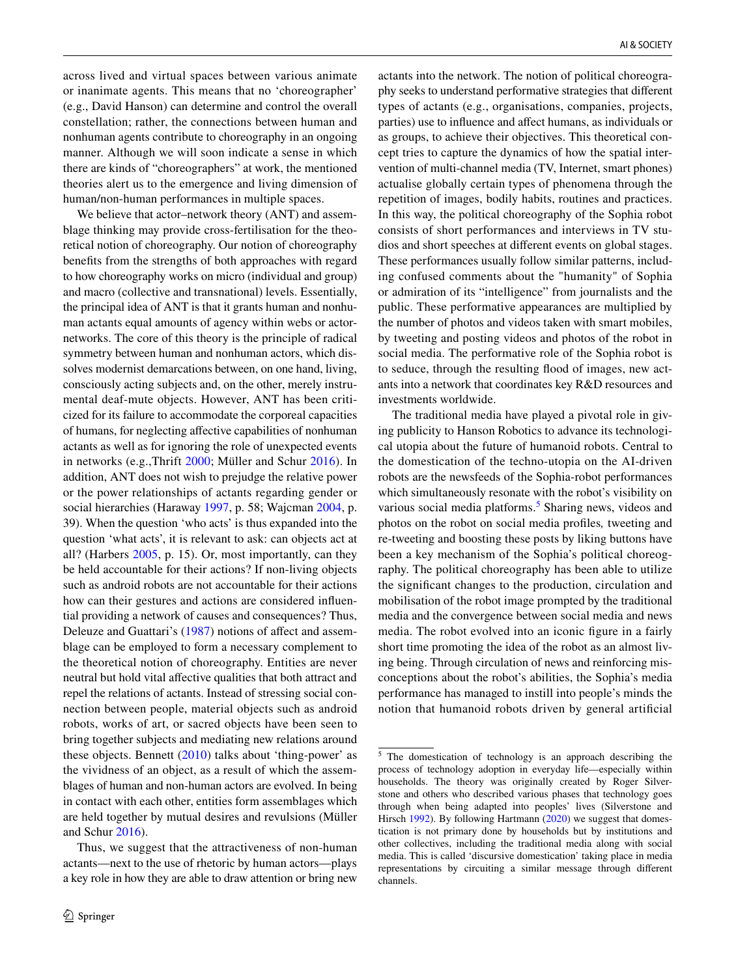across lived and virtual spaces between various animate or inanimate agents. This means that no 'choreographer' (e.g., David Hanson) can determine and control the overall constellation; rather, the connections between human and nonhuman agents contribute to choreography in an ongoing manner. Although we will soon indicate a sense in which there are kinds of "choreographers" at work, the mentioned theories alert us to the emergence and living dimension of human/non-human performances in multiple spaces.

We believe that actor–network theory (ANT) and assemblage thinking may provide cross-fertilisation for the theoretical notion of choreography. Our notion of choreography benefts from the strengths of both approaches with regard to how choreography works on micro (individual and group) and macro (collective and transnational) levels. Essentially, the principal idea of ANT is that it grants human and nonhuman actants equal amounts of agency within webs or actornetworks. The core of this theory is the principle of radical symmetry between human and nonhuman actors, which dissolves modernist demarcations between, on one hand, living, consciously acting subjects and, on the other, merely instrumental deaf-mute objects. However, ANT has been criticized for its failure to accommodate the corporeal capacities of humans, for neglecting afective capabilities of nonhuman actants as well as for ignoring the role of unexpected events in networks (e.g.,Thrift [2000;](#page-9-25) Müller and Schur [2016\)](#page-9-26). In addition, ANT does not wish to prejudge the relative power or the power relationships of actants regarding gender or social hierarchies (Haraway [1997](#page-8-20), p. 58; Wajcman [2004,](#page-9-27) p. 39). When the question 'who acts' is thus expanded into the question 'what acts', it is relevant to ask: can objects act at all? (Harbers [2005,](#page-8-21) p. 15). Or, most importantly, can they be held accountable for their actions? If non-living objects such as android robots are not accountable for their actions how can their gestures and actions are considered infuential providing a network of causes and consequences? Thus, Deleuze and Guattari's ([1987](#page-8-18)) notions of affect and assemblage can be employed to form a necessary complement to the theoretical notion of choreography. Entities are never neutral but hold vital afective qualities that both attract and repel the relations of actants. Instead of stressing social connection between people, material objects such as android robots, works of art, or sacred objects have been seen to bring together subjects and mediating new relations around these objects. Bennett [\(2010\)](#page-8-22) talks about 'thing-power' as the vividness of an object, as a result of which the assemblages of human and non-human actors are evolved. In being in contact with each other, entities form assemblages which are held together by mutual desires and revulsions (Müller and Schur [2016](#page-9-26)).

Thus, we suggest that the attractiveness of non-human actants—next to the use of rhetoric by human actors—plays a key role in how they are able to draw attention or bring new actants into the network. The notion of political choreography seeks to understand performative strategies that diferent types of actants (e.g., organisations, companies, projects, parties) use to infuence and afect humans, as individuals or as groups, to achieve their objectives. This theoretical concept tries to capture the dynamics of how the spatial intervention of multi-channel media (TV, Internet, smart phones) actualise globally certain types of phenomena through the repetition of images, bodily habits, routines and practices. In this way, the political choreography of the Sophia robot consists of short performances and interviews in TV studios and short speeches at diferent events on global stages. These performances usually follow similar patterns, including confused comments about the "humanity" of Sophia or admiration of its "intelligence" from journalists and the public. These performative appearances are multiplied by the number of photos and videos taken with smart mobiles, by tweeting and posting videos and photos of the robot in social media. The performative role of the Sophia robot is to seduce, through the resulting food of images, new actants into a network that coordinates key R&D resources and investments worldwide.

The traditional media have played a pivotal role in giving publicity to Hanson Robotics to advance its technological utopia about the future of humanoid robots. Central to the domestication of the techno-utopia on the AI-driven robots are the newsfeeds of the Sophia-robot performances which simultaneously resonate with the robot's visibility on various social media platforms.<sup>[5](#page-5-0)</sup> Sharing news, videos and photos on the robot on social media profles*,* tweeting and re-tweeting and boosting these posts by liking buttons have been a key mechanism of the Sophia's political choreography. The political choreography has been able to utilize the signifcant changes to the production, circulation and mobilisation of the robot image prompted by the traditional media and the convergence between social media and news media. The robot evolved into an iconic fgure in a fairly short time promoting the idea of the robot as an almost living being. Through circulation of news and reinforcing misconceptions about the robot's abilities, the Sophia's media performance has managed to instill into people's minds the notion that humanoid robots driven by general artifcial

<span id="page-5-0"></span><sup>5</sup> The domestication of technology is an approach describing the process of technology adoption in everyday life—especially within households. The theory was originally created by Roger Silverstone and others who described various phases that technology goes through when being adapted into peoples' lives (Silverstone and Hirsch [1992](#page-9-28)). By following Hartmann [\(2020](#page-8-23)) we suggest that domestication is not primary done by households but by institutions and other collectives, including the traditional media along with social media. This is called 'discursive domestication' taking place in media representations by circuiting a similar message through diferent channels.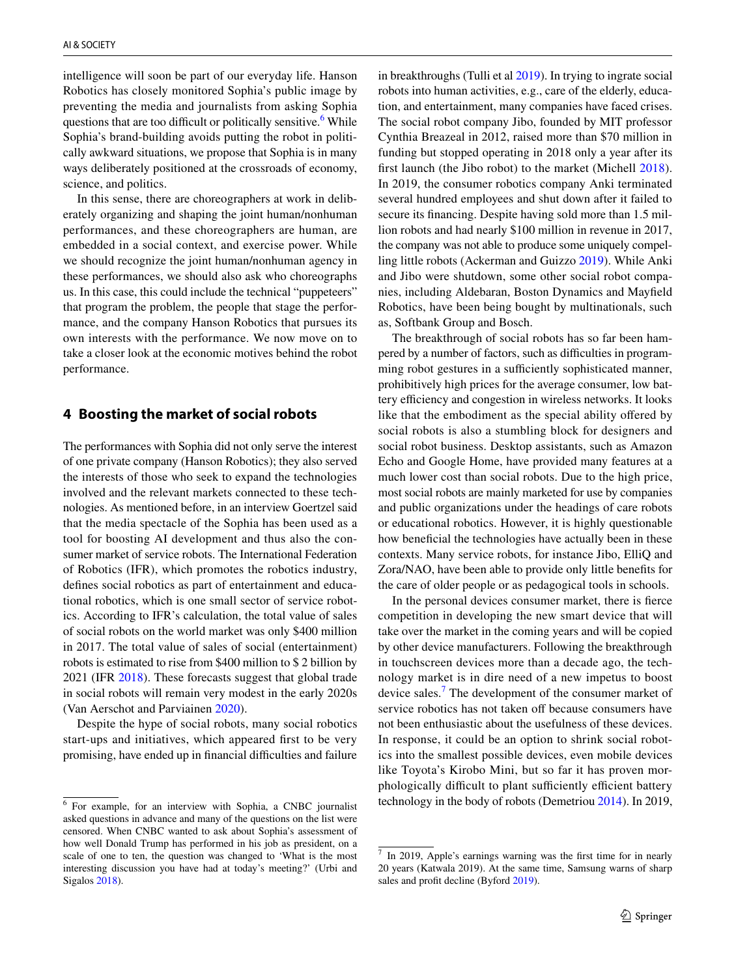intelligence will soon be part of our everyday life. Hanson Robotics has closely monitored Sophia's public image by preventing the media and journalists from asking Sophia questions that are too difficult or politically sensitive.<sup>6</sup> While Sophia's brand-building avoids putting the robot in politically awkward situations, we propose that Sophia is in many ways deliberately positioned at the crossroads of economy, science, and politics.

In this sense, there are choreographers at work in deliberately organizing and shaping the joint human/nonhuman performances, and these choreographers are human, are embedded in a social context, and exercise power. While we should recognize the joint human/nonhuman agency in these performances, we should also ask who choreographs us. In this case, this could include the technical "puppeteers" that program the problem, the people that stage the performance, and the company Hanson Robotics that pursues its own interests with the performance. We now move on to take a closer look at the economic motives behind the robot performance.

#### **4 Boosting the market of social robots**

The performances with Sophia did not only serve the interest of one private company (Hanson Robotics); they also served the interests of those who seek to expand the technologies involved and the relevant markets connected to these technologies. As mentioned before, in an interview Goertzel said that the media spectacle of the Sophia has been used as a tool for boosting AI development and thus also the consumer market of service robots. The International Federation of Robotics (IFR), which promotes the robotics industry, defnes social robotics as part of entertainment and educational robotics, which is one small sector of service robotics. According to IFR's calculation, the total value of sales of social robots on the world market was only \$400 million in 2017. The total value of sales of social (entertainment) robots is estimated to rise from \$400 million to \$ 2 billion by 2021 (IFR [2018](#page-8-8)). These forecasts suggest that global trade in social robots will remain very modest in the early 2020s (Van Aerschot and Parviainen [2020](#page-9-29)).

Despite the hype of social robots, many social robotics start-ups and initiatives, which appeared frst to be very promising, have ended up in financial difficulties and failure in breakthroughs (Tulli et al [2019](#page-9-30)). In trying to ingrate social robots into human activities, e.g., care of the elderly, education, and entertainment, many companies have faced crises. The social robot company Jibo, founded by MIT professor Cynthia Breazeal in 2012, raised more than \$70 million in funding but stopped operating in 2018 only a year after its frst launch (the Jibo robot) to the market (Michell [2018](#page-9-31)). In 2019, the consumer robotics company Anki terminated several hundred employees and shut down after it failed to secure its fnancing. Despite having sold more than 1.5 million robots and had nearly \$100 million in revenue in 2017, the company was not able to produce some uniquely compelling little robots (Ackerman and Guizzo [2019\)](#page-8-24). While Anki and Jibo were shutdown, some other social robot companies, including Aldebaran, Boston Dynamics and Mayfeld Robotics, have been being bought by multinationals, such as, Softbank Group and Bosch.

The breakthrough of social robots has so far been hampered by a number of factors, such as difficulties in programming robot gestures in a sufficiently sophisticated manner, prohibitively high prices for the average consumer, low battery efficiency and congestion in wireless networks. It looks like that the embodiment as the special ability ofered by social robots is also a stumbling block for designers and social robot business. Desktop assistants, such as Amazon Echo and Google Home, have provided many features at a much lower cost than social robots. Due to the high price, most social robots are mainly marketed for use by companies and public organizations under the headings of care robots or educational robotics. However, it is highly questionable how beneficial the technologies have actually been in these contexts. Many service robots, for instance Jibo, ElliQ and Zora/NAO, have been able to provide only little benefts for the care of older people or as pedagogical tools in schools.

In the personal devices consumer market, there is ferce competition in developing the new smart device that will take over the market in the coming years and will be copied by other device manufacturers. Following the breakthrough in touchscreen devices more than a decade ago, the technology market is in dire need of a new impetus to boost device sales.<sup>[7](#page-6-1)</sup> The development of the consumer market of service robotics has not taken off because consumers have not been enthusiastic about the usefulness of these devices. In response, it could be an option to shrink social robotics into the smallest possible devices, even mobile devices like Toyota's Kirobo Mini, but so far it has proven morphologically difficult to plant sufficiently efficient battery

<span id="page-6-0"></span> $\overline{6}$  For example, for an interview with Sophia, a CNBC journalist technology in the body of robots (Demetriou [2014\)](#page-8-25). In 2019, asked questions in advance and many of the questions on the list were censored. When CNBC wanted to ask about Sophia's assessment of how well Donald Trump has performed in his job as president, on a scale of one to ten, the question was changed to 'What is the most interesting discussion you have had at today's meeting?' (Urbi and Sigalos [2018](#page-9-9)).

<span id="page-6-1"></span>In 2019, Apple's earnings warning was the first time for in nearly 20 years (Katwala 2019). At the same time, Samsung warns of sharp sales and proft decline (Byford [2019](#page-8-26)).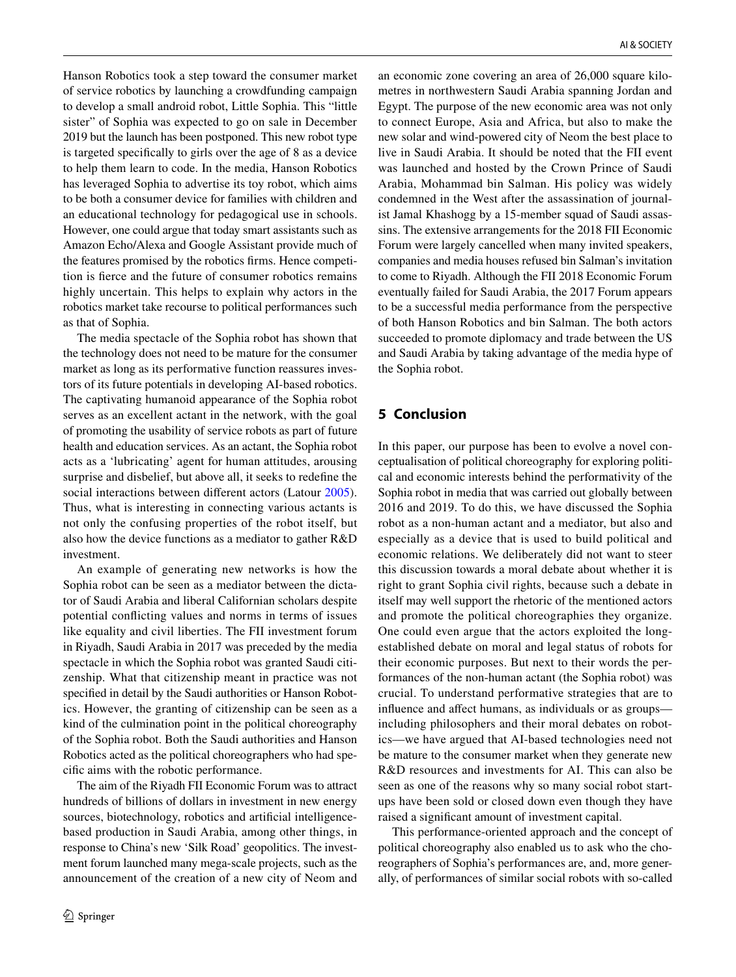Hanson Robotics took a step toward the consumer market of service robotics by launching a crowdfunding campaign to develop a small android robot, Little Sophia. This "little sister" of Sophia was expected to go on sale in December 2019 but the launch has been postponed. This new robot type is targeted specifcally to girls over the age of 8 as a device to help them learn to code. In the media, Hanson Robotics has leveraged Sophia to advertise its toy robot, which aims to be both a consumer device for families with children and an educational technology for pedagogical use in schools. However, one could argue that today smart assistants such as Amazon Echo/Alexa and Google Assistant provide much of the features promised by the robotics frms. Hence competition is ferce and the future of consumer robotics remains highly uncertain. This helps to explain why actors in the robotics market take recourse to political performances such as that of Sophia.

The media spectacle of the Sophia robot has shown that the technology does not need to be mature for the consumer market as long as its performative function reassures investors of its future potentials in developing AI-based robotics. The captivating humanoid appearance of the Sophia robot serves as an excellent actant in the network, with the goal of promoting the usability of service robots as part of future health and education services. As an actant, the Sophia robot acts as a 'lubricating' agent for human attitudes, arousing surprise and disbelief, but above all, it seeks to redefne the social interactions between different actors (Latour [2005](#page-9-23)). Thus, what is interesting in connecting various actants is not only the confusing properties of the robot itself, but also how the device functions as a mediator to gather R&D investment.

An example of generating new networks is how the Sophia robot can be seen as a mediator between the dictator of Saudi Arabia and liberal Californian scholars despite potential conficting values and norms in terms of issues like equality and civil liberties. The FII investment forum in Riyadh, Saudi Arabia in 2017 was preceded by the media spectacle in which the Sophia robot was granted Saudi citizenship. What that citizenship meant in practice was not specifed in detail by the Saudi authorities or Hanson Robotics. However, the granting of citizenship can be seen as a kind of the culmination point in the political choreography of the Sophia robot. Both the Saudi authorities and Hanson Robotics acted as the political choreographers who had specifc aims with the robotic performance.

The aim of the Riyadh FII Economic Forum was to attract hundreds of billions of dollars in investment in new energy sources, biotechnology, robotics and artifcial intelligencebased production in Saudi Arabia, among other things, in response to China's new 'Silk Road' geopolitics. The investment forum launched many mega-scale projects, such as the announcement of the creation of a new city of Neom and an economic zone covering an area of 26,000 square kilometres in northwestern Saudi Arabia spanning Jordan and Egypt. The purpose of the new economic area was not only to connect Europe, Asia and Africa, but also to make the new solar and wind-powered city of Neom the best place to live in Saudi Arabia. It should be noted that the FII event was launched and hosted by the Crown Prince of Saudi Arabia, Mohammad bin Salman. His policy was widely condemned in the West after the assassination of journalist Jamal Khashogg by a 15-member squad of Saudi assassins. The extensive arrangements for the 2018 FII Economic Forum were largely cancelled when many invited speakers, companies and media houses refused bin Salman's invitation to come to Riyadh. Although the FII 2018 Economic Forum eventually failed for Saudi Arabia, the 2017 Forum appears to be a successful media performance from the perspective of both Hanson Robotics and bin Salman. The both actors succeeded to promote diplomacy and trade between the US and Saudi Arabia by taking advantage of the media hype of the Sophia robot.

## **5 Conclusion**

In this paper, our purpose has been to evolve a novel conceptualisation of political choreography for exploring political and economic interests behind the performativity of the Sophia robot in media that was carried out globally between 2016 and 2019. To do this, we have discussed the Sophia robot as a non-human actant and a mediator, but also and especially as a device that is used to build political and economic relations. We deliberately did not want to steer this discussion towards a moral debate about whether it is right to grant Sophia civil rights, because such a debate in itself may well support the rhetoric of the mentioned actors and promote the political choreographies they organize. One could even argue that the actors exploited the longestablished debate on moral and legal status of robots for their economic purposes. But next to their words the performances of the non-human actant (the Sophia robot) was crucial. To understand performative strategies that are to infuence and afect humans, as individuals or as groups including philosophers and their moral debates on robotics—we have argued that AI-based technologies need not be mature to the consumer market when they generate new R&D resources and investments for AI. This can also be seen as one of the reasons why so many social robot startups have been sold or closed down even though they have raised a signifcant amount of investment capital.

This performance-oriented approach and the concept of political choreography also enabled us to ask who the choreographers of Sophia's performances are, and, more generally, of performances of similar social robots with so-called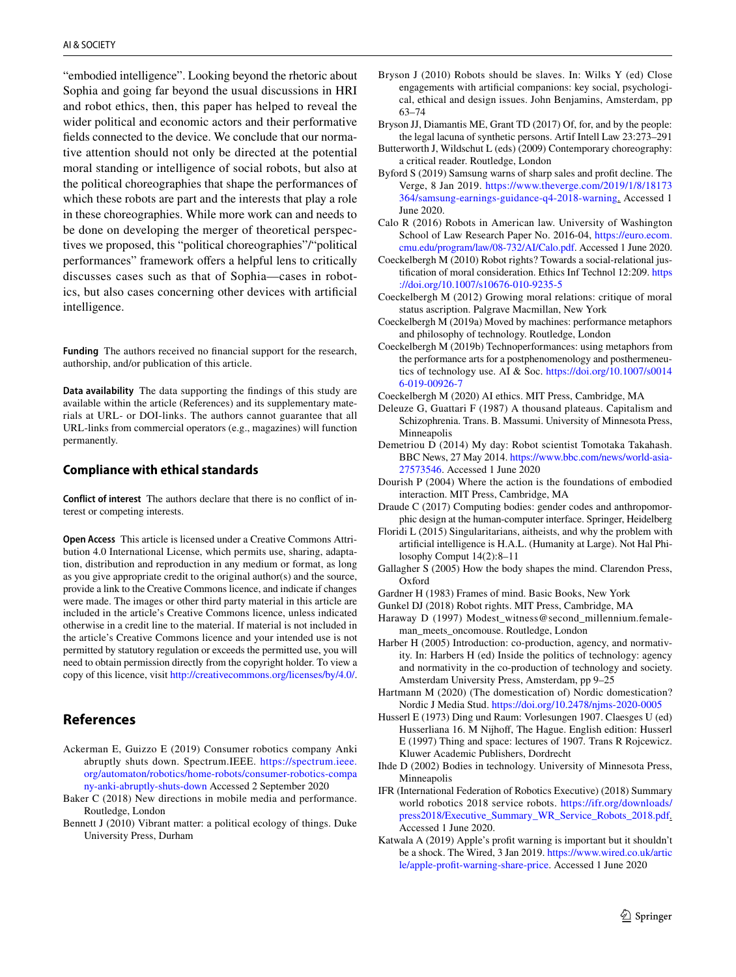"embodied intelligence". Looking beyond the rhetoric about Sophia and going far beyond the usual discussions in HRI and robot ethics, then, this paper has helped to reveal the wider political and economic actors and their performative felds connected to the device. We conclude that our normative attention should not only be directed at the potential moral standing or intelligence of social robots, but also at the political choreographies that shape the performances of which these robots are part and the interests that play a role in these choreographies. While more work can and needs to be done on developing the merger of theoretical perspectives we proposed, this "political choreographies"/"political performances" framework offers a helpful lens to critically discusses cases such as that of Sophia—cases in robotics, but also cases concerning other devices with artifcial intelligence.

**Funding** The authors received no fnancial support for the research, authorship, and/or publication of this article.

**Data availability** The data supporting the fndings of this study are available within the article (References) and its supplementary materials at URL- or DOI-links. The authors cannot guarantee that all URL-links from commercial operators (e.g., magazines) will function permanently.

#### **Compliance with ethical standards**

**Conflict of interest** The authors declare that there is no confict of interest or competing interests.

**Open Access** This article is licensed under a Creative Commons Attribution 4.0 International License, which permits use, sharing, adaptation, distribution and reproduction in any medium or format, as long as you give appropriate credit to the original author(s) and the source, provide a link to the Creative Commons licence, and indicate if changes were made. The images or other third party material in this article are included in the article's Creative Commons licence, unless indicated otherwise in a credit line to the material. If material is not included in the article's Creative Commons licence and your intended use is not permitted by statutory regulation or exceeds the permitted use, you will need to obtain permission directly from the copyright holder. To view a copy of this licence, visit <http://creativecommons.org/licenses/by/4.0/>.

## **References**

- <span id="page-8-24"></span>Ackerman E, Guizzo E (2019) Consumer robotics company Anki abruptly shuts down. Spectrum.IEEE. [https://spectrum.ieee.](https://spectrum.ieee.org/automaton/robotics/home-robots/consumer-robotics-company-anki-abruptly-shuts-down) [org/automaton/robotics/home-robots/consumer-robotics-compa](https://spectrum.ieee.org/automaton/robotics/home-robots/consumer-robotics-company-anki-abruptly-shuts-down) [ny-anki-abruptly-shuts-down](https://spectrum.ieee.org/automaton/robotics/home-robots/consumer-robotics-company-anki-abruptly-shuts-down) Accessed 2 September 2020
- <span id="page-8-19"></span>Baker C (2018) New directions in mobile media and performance. Routledge, London
- <span id="page-8-22"></span>Bennett J (2010) Vibrant matter: a political ecology of things. Duke University Press, Durham
- <span id="page-8-4"></span>Bryson J (2010) Robots should be slaves. In: Wilks Y (ed) Close engagements with artifcial companions: key social, psychological, ethical and design issues. John Benjamins, Amsterdam, pp 63–74
- <span id="page-8-2"></span>Bryson JJ, Diamantis ME, Grant TD (2017) Of, for, and by the people: the legal lacuna of synthetic persons. Artif Intell Law 23:273–291
- <span id="page-8-17"></span>Butterworth J, Wildschut L (eds) (2009) Contemporary choreography: a critical reader. Routledge, London
- <span id="page-8-26"></span>Byford S (2019) Samsung warns of sharp sales and proft decline. The Verge, 8 Jan 2019. [https://www.theverge.com/2019/1/8/18173](https://www.theverge.com/2019/1/8/18173364/samsung-earnings-guidance-q4-2018-warning) [364/samsung-earnings-guidance-q4-2018-warning.](https://www.theverge.com/2019/1/8/18173364/samsung-earnings-guidance-q4-2018-warning) Accessed 1 June 2020.
- <span id="page-8-3"></span>Calo R (2016) Robots in American law. University of Washington School of Law Research Paper No. 2016-04, [https://euro.ecom.](http://euro.ecom.cmu.edu/program/law/08-732/AI/Calo.pdf) [cmu.edu/program/law/08-732/AI/Calo.pdf.](http://euro.ecom.cmu.edu/program/law/08-732/AI/Calo.pdf) Accessed 1 June 2020.
- <span id="page-8-5"></span>Coeckelbergh M (2010) Robot rights? Towards a social-relational justifcation of moral consideration. Ethics Inf Technol 12:209. [https](https://doi.org/10.1007/s10676-010-9235-5) [://doi.org/10.1007/s10676-010-9235-5](https://doi.org/10.1007/s10676-010-9235-5)
- <span id="page-8-6"></span>Coeckelbergh M (2012) Growing moral relations: critique of moral status ascription. Palgrave Macmillan, New York
- <span id="page-8-9"></span>Coeckelbergh M (2019a) Moved by machines: performance metaphors and philosophy of technology. Routledge, London
- <span id="page-8-10"></span>Coeckelbergh M (2019b) Technoperformances: using metaphors from the performance arts for a postphenomenology and posthermeneutics of technology use. AI & Soc. [https://doi.org/10.1007/s0014](https://doi.org/10.1007/s00146-019-00926-7) [6-019-00926-7](https://doi.org/10.1007/s00146-019-00926-7)
- <span id="page-8-11"></span>Coeckelbergh M (2020) AI ethics. MIT Press, Cambridge, MA
- <span id="page-8-18"></span>Deleuze G, Guattari F (1987) A thousand plateaus. Capitalism and Schizophrenia. Trans. B. Massumi. University of Minnesota Press, Minneapolis
- <span id="page-8-25"></span>Demetriou D (2014) My day: Robot scientist Tomotaka Takahash. BBC News, 27 May 2014. [https://www.bbc.com/news/world-asia-](https://www.bbc.com/news/world-asia-27573546)[27573546](https://www.bbc.com/news/world-asia-27573546). Accessed 1 June 2020
- <span id="page-8-0"></span>Dourish P (2004) Where the action is the foundations of embodied interaction. MIT Press, Cambridge, MA
- <span id="page-8-12"></span>Draude C (2017) Computing bodies: gender codes and anthropomorphic design at the human-computer interface. Springer, Heidelberg
- <span id="page-8-13"></span>Floridi L (2015) Singularitarians, aitheists, and why the problem with artifcial intelligence is H.A.L. (Humanity at Large). Not Hal Philosophy Comput 14(2):8–11
- <span id="page-8-15"></span>Gallagher S (2005) How the body shapes the mind. Clarendon Press, Oxford
- <span id="page-8-14"></span>Gardner H (1983) Frames of mind. Basic Books, New York
- <span id="page-8-7"></span>Gunkel DJ (2018) Robot rights. MIT Press, Cambridge, MA
- <span id="page-8-20"></span>Haraway D (1997) Modest\_witness@second\_millennium.femaleman\_meets\_oncomouse. Routledge, London
- <span id="page-8-21"></span>Harber H (2005) Introduction: co-production, agency, and normativity. In: Harbers H (ed) Inside the politics of technology: agency and normativity in the co-production of technology and society. Amsterdam University Press, Amsterdam, pp 9–25
- <span id="page-8-23"></span>Hartmann M (2020) (The domestication of) Nordic domestication? Nordic J Media Stud.<https://doi.org/10.2478/njms-2020-0005>
- <span id="page-8-16"></span>Husserl E (1973) Ding und Raum: Vorlesungen 1907. Claesges U (ed) Husserliana 16. M Nijhoff, The Hague. English edition: Husserl E (1997) Thing and space: lectures of 1907*.* Trans R Rojcewicz. Kluwer Academic Publishers, Dordrecht
- <span id="page-8-1"></span>Ihde D (2002) Bodies in technology. University of Minnesota Press, Minneapolis
- <span id="page-8-8"></span>IFR (International Federation of Robotics Executive) (2018) Summary world robotics 2018 service robots. [https://ifr.org/downloads/](https://ifr.org/downloads/press2018/Executive_Summary_WR_Service_Robots_2018.pdf) [press2018/Executive\\_Summary\\_WR\\_Service\\_Robots\\_2018.pdf.](https://ifr.org/downloads/press2018/Executive_Summary_WR_Service_Robots_2018.pdf) Accessed 1 June 2020.
- Katwala A (2019) Apple's proft warning is important but it shouldn't be a shock. The Wired, 3 Jan 2019. [https://www.wired.co.uk/artic](https://www.wired.co.uk/article/apple-profit-warning-share-price) [le/apple-proft-warning-share-price](https://www.wired.co.uk/article/apple-profit-warning-share-price). Accessed 1 June 2020